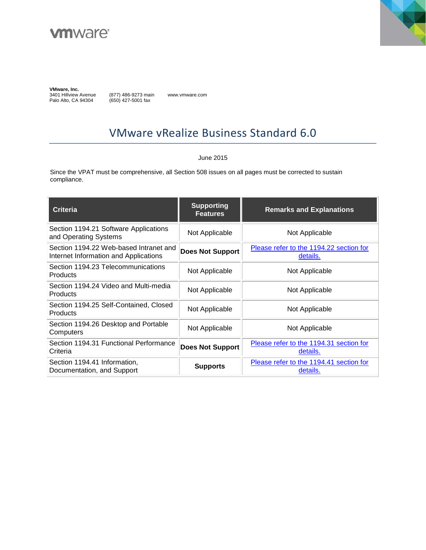



**VMware, Inc.**<br>3401 Hillview Avenue Palo Alto, CA 94304

(877) 486-9273 main (650) 427-5001 fax

www.vmware.com

# VMware vRealize Business Standard 6.0

#### June 2015

Since the VPAT must be comprehensive, all Section 508 issues on all pages must be corrected to sustain compliance.

| <b>Criteria</b>                                                                 | <b>Supporting</b><br><b>Features</b> | <b>Remarks and Explanations</b>                     |
|---------------------------------------------------------------------------------|--------------------------------------|-----------------------------------------------------|
| Section 1194.21 Software Applications<br>and Operating Systems                  | Not Applicable                       | Not Applicable                                      |
| Section 1194.22 Web-based Intranet and<br>Internet Information and Applications | <b>Does Not Support</b>              | Please refer to the 1194.22 section for<br>details. |
| Section 1194.23 Telecommunications<br><b>Products</b>                           | Not Applicable                       | Not Applicable                                      |
| Section 1194.24 Video and Multi-media<br><b>Products</b>                        | Not Applicable                       | Not Applicable                                      |
| Section 1194.25 Self-Contained, Closed<br><b>Products</b>                       | Not Applicable                       | Not Applicable                                      |
| Section 1194.26 Desktop and Portable<br>Computers                               | Not Applicable                       | Not Applicable                                      |
| Section 1194.31 Functional Performance<br>Criteria                              | <b>Does Not Support</b>              | Please refer to the 1194.31 section for<br>details. |
| Section 1194.41 Information,<br>Documentation, and Support                      | <b>Supports</b>                      | Please refer to the 1194.41 section for<br>details. |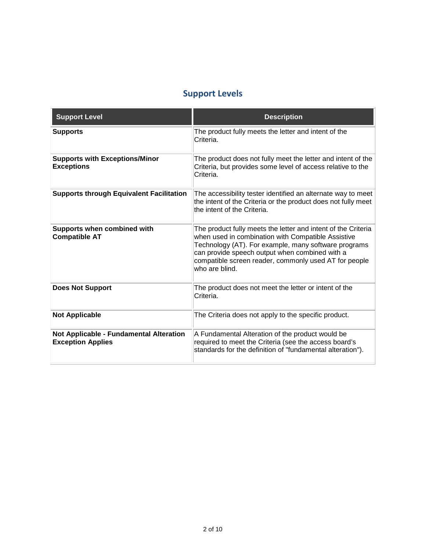## **Support Levels**

| <b>Support Level</b>                                                | <b>Description</b>                                                                                                                                                                                                                                                                                       |
|---------------------------------------------------------------------|----------------------------------------------------------------------------------------------------------------------------------------------------------------------------------------------------------------------------------------------------------------------------------------------------------|
| <b>Supports</b>                                                     | The product fully meets the letter and intent of the<br>Criteria.                                                                                                                                                                                                                                        |
| <b>Supports with Exceptions/Minor</b><br><b>Exceptions</b>          | The product does not fully meet the letter and intent of the<br>Criteria, but provides some level of access relative to the<br>Criteria.                                                                                                                                                                 |
| <b>Supports through Equivalent Facilitation</b>                     | The accessibility tester identified an alternate way to meet<br>the intent of the Criteria or the product does not fully meet<br>the intent of the Criteria.                                                                                                                                             |
| Supports when combined with<br><b>Compatible AT</b>                 | The product fully meets the letter and intent of the Criteria<br>when used in combination with Compatible Assistive<br>Technology (AT). For example, many software programs<br>can provide speech output when combined with a<br>compatible screen reader, commonly used AT for people<br>who are blind. |
| <b>Does Not Support</b>                                             | The product does not meet the letter or intent of the<br>Criteria.                                                                                                                                                                                                                                       |
| <b>Not Applicable</b>                                               | The Criteria does not apply to the specific product.                                                                                                                                                                                                                                                     |
| Not Applicable - Fundamental Alteration<br><b>Exception Applies</b> | A Fundamental Alteration of the product would be<br>required to meet the Criteria (see the access board's<br>standards for the definition of "fundamental alteration").                                                                                                                                  |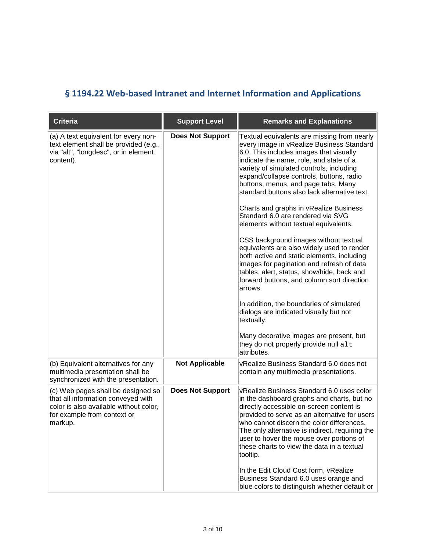# <span id="page-2-0"></span>**§ 1194.22 Web-based Intranet and Internet Information and Applications**

| <b>Criteria</b>                                                                                                                                              | <b>Support Level</b>    | <b>Remarks and Explanations</b>                                                                                                                                                                                                                                                                                                                                                                                                                                                                                                                                                                                                                                                                                                                                                                                                                                                                                                                                                       |
|--------------------------------------------------------------------------------------------------------------------------------------------------------------|-------------------------|---------------------------------------------------------------------------------------------------------------------------------------------------------------------------------------------------------------------------------------------------------------------------------------------------------------------------------------------------------------------------------------------------------------------------------------------------------------------------------------------------------------------------------------------------------------------------------------------------------------------------------------------------------------------------------------------------------------------------------------------------------------------------------------------------------------------------------------------------------------------------------------------------------------------------------------------------------------------------------------|
| (a) A text equivalent for every non-<br>text element shall be provided (e.g.,<br>via "alt", "longdesc", or in element<br>content).                           | <b>Does Not Support</b> | Textual equivalents are missing from nearly<br>every image in vRealize Business Standard<br>6.0. This includes images that visually<br>indicate the name, role, and state of a<br>variety of simulated controls, including<br>expand/collapse controls, buttons, radio<br>buttons, menus, and page tabs. Many<br>standard buttons also lack alternative text.<br>Charts and graphs in vRealize Business<br>Standard 6.0 are rendered via SVG<br>elements without textual equivalents.<br>CSS background images without textual<br>equivalents are also widely used to render<br>both active and static elements, including<br>images for pagination and refresh of data<br>tables, alert, status, show/hide, back and<br>forward buttons, and column sort direction<br>arrows.<br>In addition, the boundaries of simulated<br>dialogs are indicated visually but not<br>textually.<br>Many decorative images are present, but<br>they do not properly provide null alt<br>attributes. |
| (b) Equivalent alternatives for any<br>multimedia presentation shall be<br>synchronized with the presentation.                                               | <b>Not Applicable</b>   | vRealize Business Standard 6.0 does not<br>contain any multimedia presentations.                                                                                                                                                                                                                                                                                                                                                                                                                                                                                                                                                                                                                                                                                                                                                                                                                                                                                                      |
| (c) Web pages shall be designed so<br>that all information conveyed with<br>color is also available without color,<br>for example from context or<br>markup. | <b>Does Not Support</b> | vRealize Business Standard 6.0 uses color<br>in the dashboard graphs and charts, but no<br>directly accessible on-screen content is<br>provided to serve as an alternative for users<br>who cannot discern the color differences<br>The only alternative is indirect, requiring the<br>user to hover the mouse over portions of<br>these charts to view the data in a textual<br>tooltip.<br>In the Edit Cloud Cost form, vRealize<br>Business Standard 6.0 uses orange and<br>blue colors to distinguish whether default or                                                                                                                                                                                                                                                                                                                                                                                                                                                          |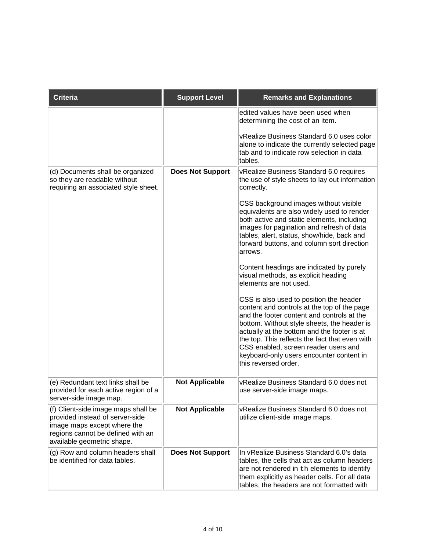| <b>Criteria</b>                                                                                                                                                          | <b>Support Level</b>    | <b>Remarks and Explanations</b>                                                                                                                                                                                                                                                                                                                                                                  |
|--------------------------------------------------------------------------------------------------------------------------------------------------------------------------|-------------------------|--------------------------------------------------------------------------------------------------------------------------------------------------------------------------------------------------------------------------------------------------------------------------------------------------------------------------------------------------------------------------------------------------|
|                                                                                                                                                                          |                         | edited values have been used when<br>determining the cost of an item.                                                                                                                                                                                                                                                                                                                            |
|                                                                                                                                                                          |                         | vRealize Business Standard 6.0 uses color<br>alone to indicate the currently selected page<br>tab and to indicate row selection in data<br>tables.                                                                                                                                                                                                                                               |
| (d) Documents shall be organized<br>so they are readable without<br>requiring an associated style sheet.                                                                 | <b>Does Not Support</b> | vRealize Business Standard 6.0 requires<br>the use of style sheets to lay out information<br>correctly.                                                                                                                                                                                                                                                                                          |
|                                                                                                                                                                          |                         | CSS background images without visible<br>equivalents are also widely used to render<br>both active and static elements, including<br>images for pagination and refresh of data<br>tables, alert, status, show/hide, back and<br>forward buttons, and column sort direction<br>arrows.                                                                                                            |
|                                                                                                                                                                          |                         | Content headings are indicated by purely<br>visual methods, as explicit heading<br>elements are not used.                                                                                                                                                                                                                                                                                        |
|                                                                                                                                                                          |                         | CSS is also used to position the header<br>content and controls at the top of the page<br>and the footer content and controls at the<br>bottom. Without style sheets, the header is<br>actually at the bottom and the footer is at<br>the top. This reflects the fact that even with<br>CSS enabled, screen reader users and<br>keyboard-only users encounter content in<br>this reversed order. |
| (e) Redundant text links shall be<br>provided for each active region of a<br>server-side image map.                                                                      | <b>Not Applicable</b>   | vRealize Business Standard 6.0 does not<br>use server-side image maps.                                                                                                                                                                                                                                                                                                                           |
| (f) Client-side image maps shall be<br>provided instead of server-side<br>image maps except where the<br>regions cannot be defined with an<br>available geometric shape. | <b>Not Applicable</b>   | vRealize Business Standard 6.0 does not<br>utilize client-side image maps.                                                                                                                                                                                                                                                                                                                       |
| (g) Row and column headers shall<br>be identified for data tables.                                                                                                       | <b>Does Not Support</b> | In vRealize Business Standard 6.0's data<br>tables, the cells that act as column headers<br>are not rendered in th elements to identify<br>them explicitly as header cells. For all data<br>tables, the headers are not formatted with                                                                                                                                                           |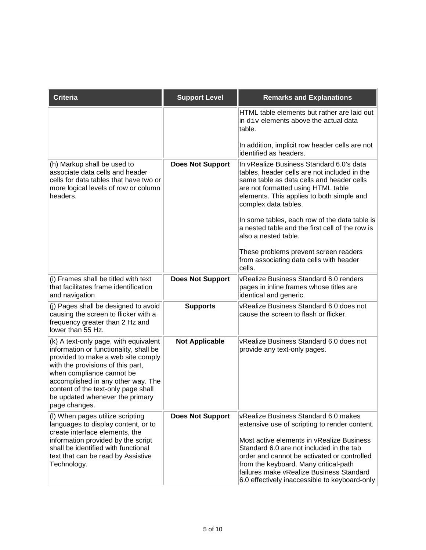| <b>Criteria</b>                                                                                                                                                                                                                                                                                                          | <b>Support Level</b>    | <b>Remarks and Explanations</b>                                                                                                                                                                                                                                                                                                                                     |
|--------------------------------------------------------------------------------------------------------------------------------------------------------------------------------------------------------------------------------------------------------------------------------------------------------------------------|-------------------------|---------------------------------------------------------------------------------------------------------------------------------------------------------------------------------------------------------------------------------------------------------------------------------------------------------------------------------------------------------------------|
|                                                                                                                                                                                                                                                                                                                          |                         | HTML table elements but rather are laid out<br>in div elements above the actual data<br>table.                                                                                                                                                                                                                                                                      |
|                                                                                                                                                                                                                                                                                                                          |                         | In addition, implicit row header cells are not<br>lidentified as headers.                                                                                                                                                                                                                                                                                           |
| (h) Markup shall be used to<br>associate data cells and header<br>cells for data tables that have two or<br>more logical levels of row or column<br>headers.                                                                                                                                                             | <b>Does Not Support</b> | In vRealize Business Standard 6.0's data<br>tables, header cells are not included in the<br>same table as data cells and header cells<br>are not formatted using HTML table<br>elements. This applies to both simple and<br>complex data tables.                                                                                                                    |
|                                                                                                                                                                                                                                                                                                                          |                         | In some tables, each row of the data table is<br>a nested table and the first cell of the row is<br>also a nested table.                                                                                                                                                                                                                                            |
|                                                                                                                                                                                                                                                                                                                          |                         | These problems prevent screen readers<br>from associating data cells with header<br>cells.                                                                                                                                                                                                                                                                          |
| (i) Frames shall be titled with text<br>that facilitates frame identification<br>and navigation                                                                                                                                                                                                                          | <b>Does Not Support</b> | vRealize Business Standard 6.0 renders<br>pages in inline frames whose titles are<br>identical and generic.                                                                                                                                                                                                                                                         |
| (j) Pages shall be designed to avoid<br>causing the screen to flicker with a<br>frequency greater than 2 Hz and<br>lower than 55 Hz.                                                                                                                                                                                     | <b>Supports</b>         | vRealize Business Standard 6.0 does not<br>cause the screen to flash or flicker.                                                                                                                                                                                                                                                                                    |
| (k) A text-only page, with equivalent<br>information or functionality, shall be<br>provided to make a web site comply<br>with the provisions of this part,<br>when compliance cannot be<br>accomplished in any other way. The<br>content of the text-only page shall<br>be updated whenever the primary<br>page changes. | <b>Not Applicable</b>   | vRealize Business Standard 6.0 does not<br>provide any text-only pages.                                                                                                                                                                                                                                                                                             |
| (I) When pages utilize scripting<br>languages to display content, or to<br>create interface elements, the<br>information provided by the script<br>shall be identified with functional<br>text that can be read by Assistive<br>Technology.                                                                              | <b>Does Not Support</b> | vRealize Business Standard 6.0 makes<br>extensive use of scripting to render content.<br>Most active elements in vRealize Business<br>Standard 6.0 are not included in the tab<br>order and cannot be activated or controlled<br>from the keyboard. Many critical-path<br>failures make vRealize Business Standard<br>6.0 effectively inaccessible to keyboard-only |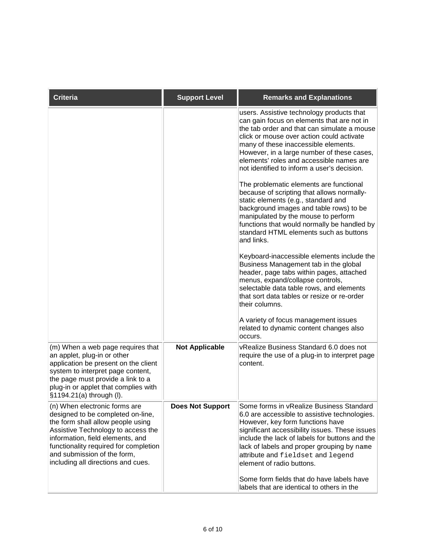| <b>Criteria</b>                                                                                                                                                                                                                                                                                 | <b>Support Level</b>    | <b>Remarks and Explanations</b>                                                                                                                                                                                                                                                                                                                                                                                                                                                                                                                                                                                                                                                                                                                                                                                                                                                                                                                                                                                                                                                 |
|-------------------------------------------------------------------------------------------------------------------------------------------------------------------------------------------------------------------------------------------------------------------------------------------------|-------------------------|---------------------------------------------------------------------------------------------------------------------------------------------------------------------------------------------------------------------------------------------------------------------------------------------------------------------------------------------------------------------------------------------------------------------------------------------------------------------------------------------------------------------------------------------------------------------------------------------------------------------------------------------------------------------------------------------------------------------------------------------------------------------------------------------------------------------------------------------------------------------------------------------------------------------------------------------------------------------------------------------------------------------------------------------------------------------------------|
|                                                                                                                                                                                                                                                                                                 |                         | users. Assistive technology products that<br>can gain focus on elements that are not in<br>the tab order and that can simulate a mouse<br>click or mouse over action could activate<br>many of these inaccessible elements.<br>However, in a large number of these cases,<br>elements' roles and accessible names are<br>not identified to inform a user's decision.<br>The problematic elements are functional<br>because of scripting that allows normally-<br>static elements (e.g., standard and<br>background images and table rows) to be<br>manipulated by the mouse to perform<br>functions that would normally be handled by<br>standard HTML elements such as buttons<br>and links.<br>Keyboard-inaccessible elements include the<br>Business Management tab in the global<br>header, page tabs within pages, attached<br>menus, expand/collapse controls,<br>selectable data table rows, and elements<br>that sort data tables or resize or re-order<br>their columns.<br>A variety of focus management issues<br>related to dynamic content changes also<br>occurs. |
| (m) When a web page requires that<br>an applet, plug-in or other<br>application be present on the client<br>system to interpret page content,<br>the page must provide a link to a<br>plug-in or applet that complies with<br>§1194.21(a) through (I).                                          | <b>Not Applicable</b>   | vRealize Business Standard 6.0 does not<br>require the use of a plug-in to interpret page<br>content.                                                                                                                                                                                                                                                                                                                                                                                                                                                                                                                                                                                                                                                                                                                                                                                                                                                                                                                                                                           |
| (n) When electronic forms are<br>designed to be completed on-line,<br>the form shall allow people using<br>Assistive Technology to access the<br>information, field elements, and<br>functionality required for completion<br>and submission of the form,<br>including all directions and cues. | <b>Does Not Support</b> | Some forms in vRealize Business Standard<br>6.0 are accessible to assistive technologies.<br>However, key form functions have<br>significant accessibility issues. These issues<br>include the lack of labels for buttons and the<br>lack of labels and proper grouping by name<br>attribute and fieldset and legend<br>element of radio buttons.<br>Some form fields that do have labels have<br>labels that are identical to others in the                                                                                                                                                                                                                                                                                                                                                                                                                                                                                                                                                                                                                                    |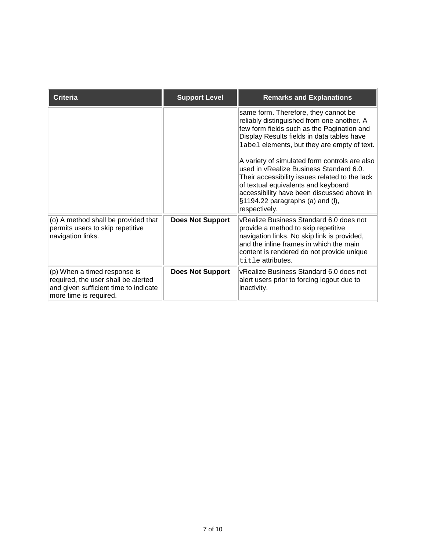| <b>Criteria</b>                                                                                                                        | <b>Support Level</b>    | <b>Remarks and Explanations</b>                                                                                                                                                                                                                                                       |
|----------------------------------------------------------------------------------------------------------------------------------------|-------------------------|---------------------------------------------------------------------------------------------------------------------------------------------------------------------------------------------------------------------------------------------------------------------------------------|
|                                                                                                                                        |                         | same form. Therefore, they cannot be<br>reliably distinguished from one another. A<br>few form fields such as the Pagination and<br>Display Results fields in data tables have<br>label elements, but they are empty of text.                                                         |
|                                                                                                                                        |                         | A variety of simulated form controls are also<br>lused in vRealize Business Standard 6.0.<br>Their accessibility issues related to the lack<br>of textual equivalents and keyboard<br>accessibility have been discussed above in<br>§1194.22 paragraphs (a) and (I),<br>respectively. |
| (o) A method shall be provided that<br>permits users to skip repetitive<br>navigation links.                                           | <b>Does Not Support</b> | vRealize Business Standard 6.0 does not<br>provide a method to skip repetitive<br>navigation links. No skip link is provided,<br>and the inline frames in which the main<br>content is rendered do not provide unique<br>title attributes.                                            |
| (p) When a timed response is<br>required, the user shall be alerted<br>and given sufficient time to indicate<br>more time is required. | <b>Does Not Support</b> | vRealize Business Standard 6.0 does not<br>alert users prior to forcing logout due to<br>inactivity.                                                                                                                                                                                  |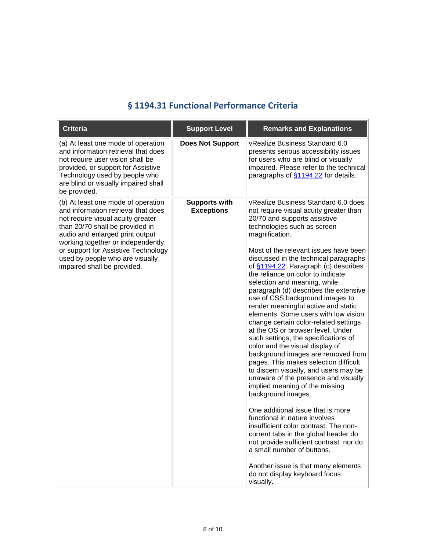#### **§ 1194.31 Functional Performance Criteria**

<span id="page-7-0"></span>

| <b>Criteria</b>                                                                                                                                                                                                                                                                                                                     | <b>Support Level</b>                      | <b>Remarks and Explanations</b>                                                                                                                                                                                                                                                                                                                                                                                                                                                                                                                                                                                                                                                                                                                                                                                                                                                                                                                                                                                                                                                                                                                                                                                                |
|-------------------------------------------------------------------------------------------------------------------------------------------------------------------------------------------------------------------------------------------------------------------------------------------------------------------------------------|-------------------------------------------|--------------------------------------------------------------------------------------------------------------------------------------------------------------------------------------------------------------------------------------------------------------------------------------------------------------------------------------------------------------------------------------------------------------------------------------------------------------------------------------------------------------------------------------------------------------------------------------------------------------------------------------------------------------------------------------------------------------------------------------------------------------------------------------------------------------------------------------------------------------------------------------------------------------------------------------------------------------------------------------------------------------------------------------------------------------------------------------------------------------------------------------------------------------------------------------------------------------------------------|
| (a) At least one mode of operation<br>and information retrieval that does<br>not require user vision shall be<br>provided, or support for Assistive<br>Technology used by people who<br>are blind or visually impaired shall<br>be provided.                                                                                        | <b>Does Not Support</b>                   | vRealize Business Standard 6.0<br>presents serious accessibility issues<br>for users who are blind or visually<br>impaired. Please refer to the technical<br>paragraphs of \$1194.22 for details.                                                                                                                                                                                                                                                                                                                                                                                                                                                                                                                                                                                                                                                                                                                                                                                                                                                                                                                                                                                                                              |
| (b) At least one mode of operation<br>and information retrieval that does<br>not require visual acuity greater<br>than 20/70 shall be provided in<br>audio and enlarged print output<br>working together or independently,<br>or support for Assistive Technology<br>used by people who are visually<br>impaired shall be provided. | <b>Supports with</b><br><b>Exceptions</b> | vRealize Business Standard 6.0 does<br>not require visual acuity greater than<br>20/70 and supports assistive<br>technologies such as screen<br>magnification.<br>Most of the relevant issues have been<br>discussed in the technical paragraphs<br>of §1194.22. Paragraph (c) describes<br>the reliance on color to indicate<br>selection and meaning, while<br>paragraph (d) describes the extensive<br>use of CSS background images to<br>render meaningful active and static<br>elements. Some users with low vision<br>change certain color-related settings<br>at the OS or browser level. Under<br>such settings, the specifications of<br>color and the visual display of<br>background images are removed from<br>pages. This makes selection difficult<br>to discern visually, and users may be<br>unaware of the presence and visually<br>implied meaning of the missing<br>background images.<br>One additional issue that is more<br>functional in nature involves<br>insufficient color contrast. The non-<br>current tabs in the global header do<br>not provide sufficient contrast. nor do<br>a small number of buttons.<br>Another issue is that many elements<br>do not display keyboard focus<br>visually. |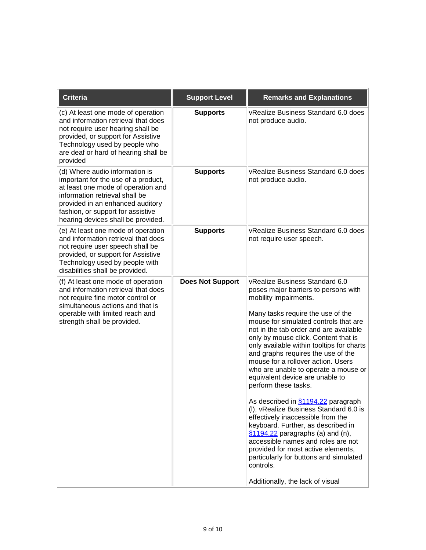| <b>Criteria</b>                                                                                                                                                                                                                                              | <b>Support Level</b>    | <b>Remarks and Explanations</b>                                                                                                                                                                                                                                                                                                                                                                                                                                                                                                                                                                                                                                                                                                                                                                                                                                    |
|--------------------------------------------------------------------------------------------------------------------------------------------------------------------------------------------------------------------------------------------------------------|-------------------------|--------------------------------------------------------------------------------------------------------------------------------------------------------------------------------------------------------------------------------------------------------------------------------------------------------------------------------------------------------------------------------------------------------------------------------------------------------------------------------------------------------------------------------------------------------------------------------------------------------------------------------------------------------------------------------------------------------------------------------------------------------------------------------------------------------------------------------------------------------------------|
| (c) At least one mode of operation<br>and information retrieval that does<br>not require user hearing shall be<br>provided, or support for Assistive<br>Technology used by people who<br>are deaf or hard of hearing shall be<br>provided                    | <b>Supports</b>         | VRealize Business Standard 6.0 does<br>not produce audio.                                                                                                                                                                                                                                                                                                                                                                                                                                                                                                                                                                                                                                                                                                                                                                                                          |
| (d) Where audio information is<br>important for the use of a product,<br>at least one mode of operation and<br>information retrieval shall be<br>provided in an enhanced auditory<br>fashion, or support for assistive<br>hearing devices shall be provided. | <b>Supports</b>         | vRealize Business Standard 6.0 does<br>not produce audio.                                                                                                                                                                                                                                                                                                                                                                                                                                                                                                                                                                                                                                                                                                                                                                                                          |
| (e) At least one mode of operation<br>and information retrieval that does<br>not require user speech shall be<br>provided, or support for Assistive<br>Technology used by people with<br>disabilities shall be provided.                                     | <b>Supports</b>         | vRealize Business Standard 6.0 does<br>not require user speech.                                                                                                                                                                                                                                                                                                                                                                                                                                                                                                                                                                                                                                                                                                                                                                                                    |
| (f) At least one mode of operation<br>and information retrieval that does<br>not require fine motor control or<br>simultaneous actions and that is<br>operable with limited reach and<br>strength shall be provided.                                         | <b>Does Not Support</b> | vRealize Business Standard 6.0<br>poses major barriers to persons with<br>mobility impairments.<br>Many tasks require the use of the<br>mouse for simulated controls that are<br>not in the tab order and are available<br>only by mouse click. Content that is<br>only available within tooltips for charts<br>and graphs requires the use of the<br>mouse for a rollover action. Users<br>who are unable to operate a mouse or<br>equivalent device are unable to<br>perform these tasks.<br>As described in \$1194.22 paragraph<br>(I), vRealize Business Standard 6.0 is<br>effectively inaccessible from the<br>keyboard. Further, as described in<br>§1194.22 paragraphs (a) and (n),<br>accessible names and roles are not<br>provided for most active elements,<br>particularly for buttons and simulated<br>controls.<br>Additionally, the lack of visual |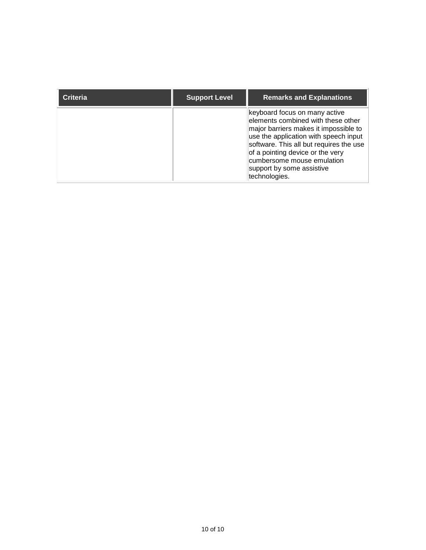<span id="page-9-0"></span>

| <b>Criteria</b> | <b>Support Level</b> | <b>Remarks and Explanations</b>                                                                                                                                                                                                                                                                                  |
|-----------------|----------------------|------------------------------------------------------------------------------------------------------------------------------------------------------------------------------------------------------------------------------------------------------------------------------------------------------------------|
|                 |                      | keyboard focus on many active<br>elements combined with these other<br>major barriers makes it impossible to<br>use the application with speech input<br>software. This all but requires the use<br>of a pointing device or the very<br>cumbersome mouse emulation<br>support by some assistive<br>technologies. |